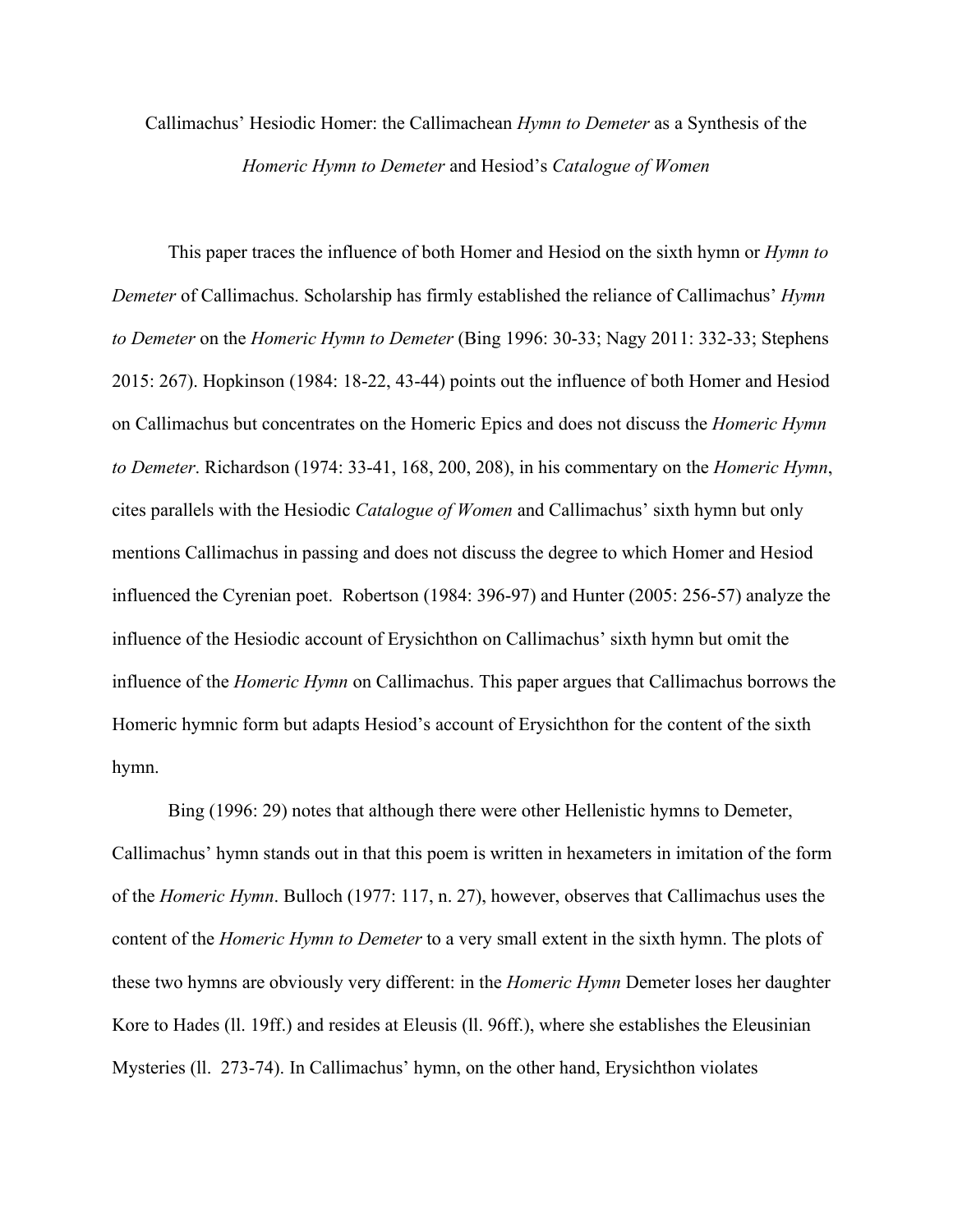## Callimachus' Hesiodic Homer: the Callimachean *Hymn to Demeter* as a Synthesis of the *Homeric Hymn to Demeter* and Hesiod's *Catalogue of Women*

This paper traces the influence of both Homer and Hesiod on the sixth hymn or *Hymn to Demeter* of Callimachus. Scholarship has firmly established the reliance of Callimachus' *Hymn to Demeter* on the *Homeric Hymn to Demeter* (Bing 1996: 30-33; Nagy 2011: 332-33; Stephens 2015: 267). Hopkinson (1984: 18-22, 43-44) points out the influence of both Homer and Hesiod on Callimachus but concentrates on the Homeric Epics and does not discuss the *Homeric Hymn to Demeter*. Richardson (1974: 33-41, 168, 200, 208), in his commentary on the *Homeric Hymn*, cites parallels with the Hesiodic *Catalogue of Women* and Callimachus' sixth hymn but only mentions Callimachus in passing and does not discuss the degree to which Homer and Hesiod influenced the Cyrenian poet. Robertson (1984: 396-97) and Hunter (2005: 256-57) analyze the influence of the Hesiodic account of Erysichthon on Callimachus' sixth hymn but omit the influence of the *Homeric Hymn* on Callimachus. This paper argues that Callimachus borrows the Homeric hymnic form but adapts Hesiod's account of Erysichthon for the content of the sixth hymn.

Bing (1996: 29) notes that although there were other Hellenistic hymns to Demeter, Callimachus' hymn stands out in that this poem is written in hexameters in imitation of the form of the *Homeric Hymn*. Bulloch (1977: 117, n. 27), however, observes that Callimachus uses the content of the *Homeric Hymn to Demeter* to a very small extent in the sixth hymn. The plots of these two hymns are obviously very different: in the *Homeric Hymn* Demeter loses her daughter Kore to Hades (ll. 19ff.) and resides at Eleusis (ll. 96ff.), where she establishes the Eleusinian Mysteries (ll. 273-74). In Callimachus' hymn, on the other hand, Erysichthon violates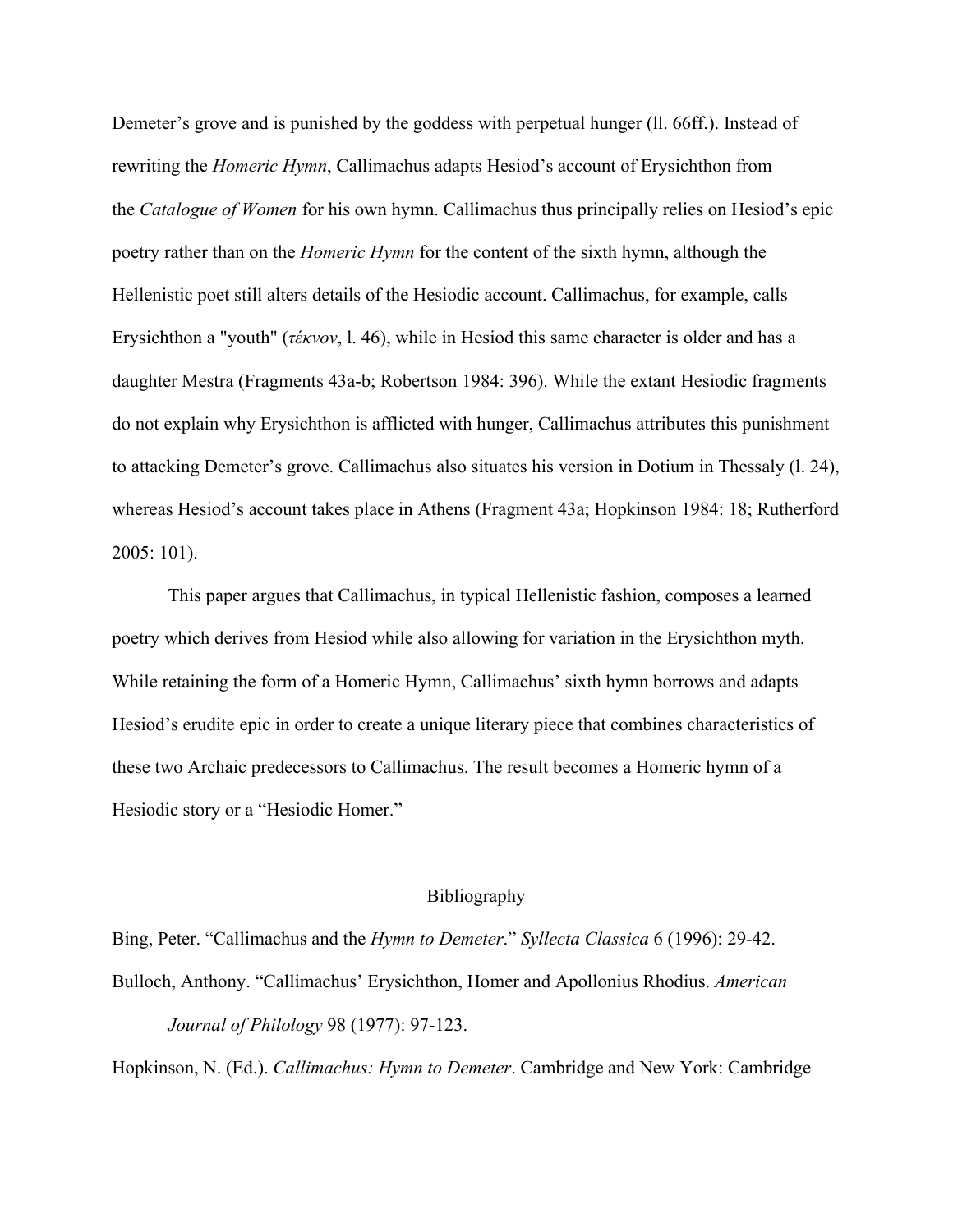Demeter's grove and is punished by the goddess with perpetual hunger (ll. 66ff.). Instead of rewriting the *Homeric Hymn*, Callimachus adapts Hesiod's account of Erysichthon from the *Catalogue of Women* for his own hymn. Callimachus thus principally relies on Hesiod's epic poetry rather than on the *Homeric Hymn* for the content of the sixth hymn, although the Hellenistic poet still alters details of the Hesiodic account. Callimachus, for example, calls Erysichthon a "youth" (*τέκνον*, l. 46), while in Hesiod this same character is older and has a daughter Mestra (Fragments 43a-b; Robertson 1984: 396). While the extant Hesiodic fragments do not explain why Erysichthon is afflicted with hunger, Callimachus attributes this punishment to attacking Demeter's grove. Callimachus also situates his version in Dotium in Thessaly (l. 24), whereas Hesiod's account takes place in Athens (Fragment 43a; Hopkinson 1984: 18; Rutherford 2005: 101).

This paper argues that Callimachus, in typical Hellenistic fashion, composes a learned poetry which derives from Hesiod while also allowing for variation in the Erysichthon myth. While retaining the form of a Homeric Hymn, Callimachus' sixth hymn borrows and adapts Hesiod's erudite epic in order to create a unique literary piece that combines characteristics of these two Archaic predecessors to Callimachus. The result becomes a Homeric hymn of a Hesiodic story or a "Hesiodic Homer."

## Bibliography

Bing, Peter. "Callimachus and the *Hymn to Demeter*." *Syllecta Classica* 6 (1996): 29-42. Bulloch, Anthony. "Callimachus' Erysichthon, Homer and Apollonius Rhodius. *American Journal of Philology* 98 (1977): 97-123.

Hopkinson, N. (Ed.). *Callimachus: Hymn to Demeter*. Cambridge and New York: Cambridge